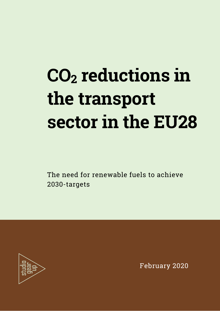# **CO2 reductions in the transport sector in the EU28**

The need for renewable fuels to achieve 2030-targets



February 2020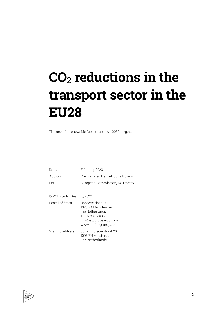## **CO2 reductions in the transport sector in the EU28**

The need for renewable fuels to achieve 2030-targets

| Date:    | February 2020                     |
|----------|-----------------------------------|
| Authors: | Eric van den Heuvel. Sofia Rosero |
| For:     | European Commission, DG Energy    |

© VOF studio Gear Up, 2020

| Postal address:   | Booseveltlaan 80-1<br>1078 NM Amsterdam<br>the Netherlands<br>+31-6-83223098<br>info@studiogearup.com<br>www.studiogearup.com |
|-------------------|-------------------------------------------------------------------------------------------------------------------------------|
| Visiting address: | Johann Siegerstraat 20<br>1096 BH Amsterdam<br>The Netherlands                                                                |

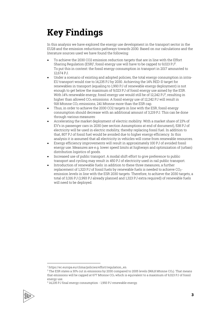### **Key Findings**

In this analysis we have explored the energy use development in the transport sector in the EU28 and the emission reductions pathways towards 2030. Based on our calculations and the literature sources used we have found the following:

- To achieve the 2030 CO2 emission reduction targets that are in line with the Effort Sharing Regulation (ESR)<sup>1</sup>, fossil energy use will have to be capped to 9,023 PJ<sup>2</sup>. To put this in context: the fossil energy consumption in transport in 2017 amounted to 12,674 PJ.
- Under a scenario of existing and adopted policies, the total energy consumption in intra-EU transport would rise to 14,235 PJ by 2030. Achieving the 14% RED-II target for renewables in transport (equaling to 1,993 PJ of renewable energy deployment) is not enough to get below the maximum of 9,023 PJ of fossil energy use aimed by the ESR. With 14% renewable energy, fossil energy use would still be of 12,242 PJ $^3$ , resulting in higher than allowed CO<sub>2</sub> emissions. A fossil energy use of 12,242 PJ will result in  $918$  Mtonne CO<sub>2</sub> emissions, 241 Mtonne more than the ESR cap.
- Thus, in order to achieve the 2030 CO2 targets in line with the ESR, fossil energy consumption should decrease with an additional amount of 3,219 PJ. This can be done through various measures:
- Accelerating the market deployment of electric mobility. With a market share of 23% of EV's in passenger cars in 2030 (see section Assumptions at end of document), 538 PJ of electricity will be used in electric mobility, thereby replacing fossil fuel. In addition to that, 807 PJ of fossil fuel would be avoided due to higher energy efficiency. In this analysis it is assumed that all electricity in vehicles will come from renewable resources.
- Energy efficiency improvements will result in approximately 100 PJ of avoided fossil energy use. Measures are e.g. lower speed limits at highways and optimization of (urban) distribution logistics of goods.
- Increased use of public transport. A modal shift effort to give preference to public transport and cycling may result in 450 PJ of electricity used in rail public transport.
- Introduction of renewable fuels: in addition to these three measures, a further replacement of 1,323 PJ of fossil fuels by renewable fuels is needed to achieve CO<sub>2</sub>emission levels in line with the ESR 2030 targets. Therefore, to achieve the 2030 targets, a total of 3,316 PJ (1,993 PJ already planned and 1,323 PJ extra required) of renewable fuels will need to be deployed.

<sup>3</sup> 14,235 PJ final energy consumption - 1,993 PJ renewable energy.



<sup>1</sup> https://ec.europa.eu/clima/policies/effort/regulation\_en

<sup>2</sup> The ESR states a 30% cut in emissions by 2030 compared to 2005 levels (966,8 Mtonne CO2). That means that emissions will be capped at 677 Mtonne CO<sub>2</sub> which is equivalent to a maximum of 9,023 PJ of fossil energy use.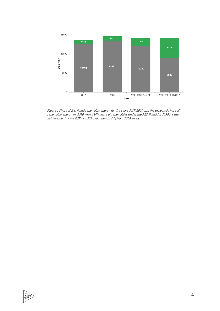

Figure 1 Share of fossil and renewable energy for the years 2017, 2020 and the expected share of renewable energy in 2030 with <sup>a</sup> 14% share of renewables under the RED II and for 2030 for the achievement of the ESR of <sup>a</sup> 30% reduction in CO<sup>2</sup> from 2005 levels.

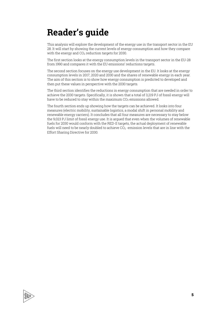### **Reader's guide**

This analysis will explore the development of the energy use in the transport sector in the EU 28. It will start by showing the current levels of energy consumption and how they compare with the energy and  $CO<sub>2</sub>$  reduction targets for 2030.

The first section looks at the energy consumption levels in the transport sector in the EU-28 from 1990 and compares it with the EU emissions' reductions targets.

The second section focuses on the energy use development in the EU. It looks at the energy consumption levels in 2017, 2020 and 2030 and the shares of renewable energy in each year. The aim of this section is to show how energy consumption is predicted to developed and then put these values in perspective with the 2030 targets.

The third section identifies the reductions in energy consumption that are needed in order to achieve the 2030 targets. Specifically, it is shown that a total of 3,219 PJ of fossil energy will have to be reduced to stay within the maximum  $CO<sub>2</sub>$  emissions allowed.

The fourth section ends up showing how the targets can be achieved. It looks into four measures (electric mobility, sustainable logistics, a modal shift in personal mobility and renewable energy carriers). It concludes that all four measures are necessary to stay below the 9,023 PJ limit of fossil energy use. It is argued that even when the volumes of renewable fuels for 2030 would conform with the RED-II targets, the actual deployment of renewable fuels will need to be nearly doubled to achieve  $CO<sub>2</sub>$  -emission levels that are in line with the Effort Sharing Directive for 2030.

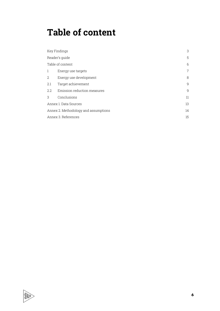### **Table of content**

| Key Findings        |                                      | 3  |
|---------------------|--------------------------------------|----|
|                     | Reader's quide                       | 5  |
|                     | Table of content                     | 6  |
| 1                   | Energy use targets                   | 7  |
| 2                   | Energy use development               | 8  |
| 2.1                 | Target achievement                   | 9  |
| 2.2                 | Emission reduction measures          | 9  |
| 3                   | Conclusions                          | 11 |
|                     | Annex 1. Data Sources                | 13 |
|                     | Annex 2. Methodology and assumptions | 14 |
| Annex 3. References |                                      | 15 |

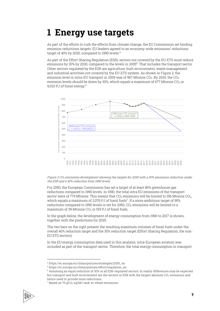### **1 Energy use targets**

As part of the efforts to curb the effects from climate change, the EU Commission set binding emission reductions targets. EU leaders agreed to an economy-wide emissions' reductions target of 40% by 2030, compared to 1990 levels.<sup>4</sup>

As part of the Effort Sharing Regulation (ESR), sectors not covered by the EU-ETS must reduce emissions by 30% by 2030, compared to the levels in 2005<sup>5</sup>. That includes the transport sector. Other sectors regulated by the ESR are agriculture, built environment, waste management and industrial activities not covered by the EU-ETS system. As shown in Figure 2, the emission level in intra-EU transport in 2005 was of 967 Mtonne CO<sub>2</sub>. By 2030, the CO<sub>2</sub> emission levels should be down by 30%, which equals a maximum of 677 Mtonne  $CO<sub>2</sub>$  or 9,023 PJ of fossil energy.<sup>6</sup>



#### Figure 2 CO<sub>2</sub> emissions development showing the targets for 2030 with a 30% emissions reduction under the ESR and a 40% reduction from 1990 levels

For 2050, the European Commission has set a target of at least 80% greenhouse gas reductions compared to 1990 levels. In 1990, the total intra EU emissions of the transport sector were of 779 Mtonne. This means that  $CO<sub>2</sub>$  emissions will be limited to 156 Mtonne  $CO<sub>2</sub>$ , which equals a maximum of 2,076 PJ of fossil fuels $^7$ . If a more ambitious target of 95% reductions compared to 1990 levels is set for 2050,  $CO<sub>2</sub>$  emissions will be limited to a maximum of 39 Mtonne  $CO<sub>2</sub>$  or 519 PJ of fossil fuels.

In the graph below, the development of energy consumption from 1990 to 2017 is shown, together with the predictions for 2020.

The two bars on the right present the resulting maximum volumes of fossil fuels under the overall 40% reduction target and the 30% reduction target (Effort Sharing Regulation, the non-EU ETS sectors).

In the EU energy consumption data used in this analysis, intra-European aviation was included as part of the transport sector. Therefore, the total energy consumption in transport

<sup>7</sup> Based on 75 gCO2-eq/MJ tank-to-wheel emissions.



<sup>4</sup> https://ec.europa.eu/clima/policies/strategies/2030\_en

<sup>5</sup> https://ec.europa.eu/clima/policies/effort/regulation\_en

<sup>6</sup> Assuming an equal reduction of 30% in all ESR-regulated sectors. In reality differences may be expected but transport and built environment are the sectors in ESR with the largest absolute CO<sub>2</sub>-emissions and hence need to provide most reductions.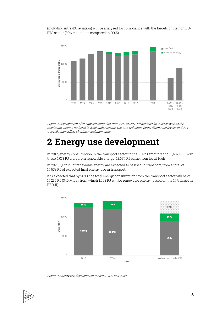(including intra-EU aviation) will be analysed for compliance with the targets of the non EU-ETS sector (30% reductions compared to 2005).



Figure 3 Development of energy consumption from 1990 to 2017, predictions for 2020 as well as the maximum volume for fossil in 2030 under overall 40% CO2-reduction target (from 1900 levels) and 30% CO<sup>2</sup> reduction Effort Sharing Regulation target

### **2 Energy use development**

In 2017, energy consumption in the transport sector in the EU-28 amounted to 13,687 PJ. From these, 1,013 PJ were from renewable energy. 12,674 PJ came from fossil fuels.

In 2020, 1,172 PJ of renewable energy are expected to be used in transport, from a total of 14,653 PJ of expected final energy use in transport.

It is expected that by 2030, the total energy consumption from the transport sector will be of 14,235 PJ (340 Mtoe), from which 1,993 PJ will be renewable energy (based on the 14% target in RED-II).



Figure 4 Energy use development for 2017, 2020 and 2030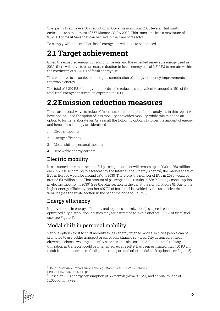The goal is to achieve a 30% reduction in  $CO<sub>2</sub>$  emissions from 2005 levels. That limits emissions to a maximum of 677 Mtonne  $CO<sub>2</sub>$  by 2030. This translates into a maximum of 9,023 PJ of fossil fuels that can be used in the transport sector.

To comply with this number, fossil energy use will have to be reduced.

### **2.1 Target achievement**

Given the expected energy consumption levels and the expected renewable energy used in 2030, there will have to be an extra reduction in fossil energy use of 3,219 PJ to remain within the maximum of 9,023 PJ of fossil energy use.

This will have to be achieved through a combination of energy efficiency improvements and renewable energy.

The total of 3,219 PJ of energy that needs to be reduced is equivalent to around a fifth of the total final energy consumption expected in 2030.

### **2.2Emission reduction measures**

There are several ways to reduce  $CO<sub>2</sub>$ -emissions in transport. In the analyses in this report we have not included the option of less mobility or avoided mobility, while this might be an option to further elaborate on. As a result the following options to lower the amount of energy, and hence fossil energy are identified:

- 1. Electric mobility
- 2. Energy efficiency
- 3. Modal shift in personal mobility
- 4. Renewable energy carriers

#### Electric mobility

It is assumed here that the total EU passenger car fleet will remain up to 2030 at 260 million cars in 2030. According to a forecast by the International Energy Agency $^\mathrm{g}$ , the market share of EVs in Europe would be around 23% in 2030. Therefore, the number of EVs in 2030 would be around 60 million cars. That amount of passenger cars results in 538 PJ energy consumption in electric mobility in  $2030^{\circ}$  (see the blue section in the bar at the right of Figure 5). Due to the higher energy efficiency, another 807 PJ of fossil fuel is avoided by the use of electric vehicles (see the white section in the bar at the right of Figure 5).

#### Energy efficiency

Improvements in energy efficiency and logistics optimization (e.g. speed reduction, optimized city distribution logistics etc.) are estimated to avoid another 100 PJ of fossil fuel use (see Figure 5).

#### Modal shift in personal mobility

Various options exist to shift mobility to less energy intense modes. In cities people can be promoted to use public transport or car or bike sharing services. City design can impact citizens to choose walking to nearby services. It is also assumed that the total railway utilization in transport could be intensified. As a result it has been estimated that 450 PJ will result from increased use of rail public transport and other modal shift options (see Figure 5).

<sup>9</sup> Based on EV's energy consumption of 6 km/kWh (6km/ 3.6 MJ) and annual milage of 15,000 km in a year.



<sup>8</sup> See http://www.europarl.europa.eu/RegData/etudes/BRIE/2019/637895/ EPRS\_BRI(2019)637895\_EN.pdf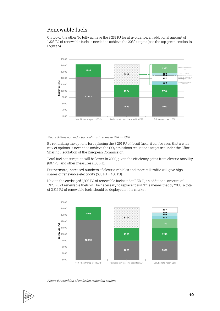#### Renewable fuels

On top of the other To fully achieve the 3,219 PJ fossil avoidance, an additional amount of 1,323 PJ of renewable fuels is needed to achieve the 2030 targets (see the top green section in Figure 5).



#### Figure 5 Emission reduction options to achieve ESR in 2030.

By re-ranking the options for replacing the 3,219 PJ of fossil fuels, it can be seen that a wide mix of options is needed to achieve the  $CO<sub>2</sub>$  emissions reductions target set under the Effort Sharing Regulation of the European Commission.

Total fuel consumption will be lower in 2030, given the efficiency gains from electric mobility (807 PJ) and other measures (100 PJ).

Furthermore, increased numbers of electric vehicles and more rail traffic will give high shares of renewable electricity (538 PJ + 450 PJ).

Next to the envisaged 1,993 PJ of renewable fuels under RED-II, an additional amount of 1,323 PJ of renewable fuels will be necessary to replace fossil. This means that by 2030, a total of 3,316 PJ of renewable fuels should be deployed in the market.



Figure 6 Reranking of emission reduction options

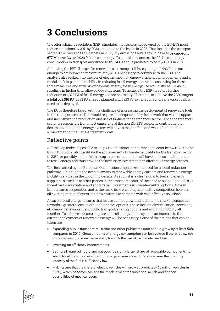### **3 Conclusions**

The effort sharing regulation (ESR) stipulates that sectors not covered by the EU-ETS must reduce emissions by 30% by 2030 compared to the levels in 2005. That includes the transport sector. To achieve the ESR targets in 2030, CO<sub>2</sub> emissions levels would have to be capped to 677 Mtonne CO<sub>2</sub> or 9,023 PJ of fossil energy. To put this in context: the 2017 fossil energy consumption in transport amounted to 12,674 PJ and is predicted to be 12,242 PJ in 2030.

Achieving the RED-II target for renewables in transport (14%, equaling to 1,993 PJ) is not enough to get below the maximum of 9,023 PJ necessary to comply with the ESR. The analysis also looked into the role of electric mobility, energy efficiency improvements and a modal shift in personal mobility in reducing fossil energy use. After accounting for these three measures and with 14% renewable energy, fossil energy use would still be 10,346 PJ, resulting in higher than allowed  $CO<sub>2</sub>$  emissions. To achieve the ESR targets, a further reduction of 1,323 PJ of fossil energy use are necessary. Therefore, to achieve the 2030 targets, a total of 3,316 PJ (1,993 PJ already planned and 1,323 PJ extra required) of renewable fuels will need to be deployed.

The EU is therefore faced with the challenge of increasing the deployment of renewable fuels in the transport sector. This would require an adequate policy framework that would support and incentivize the production and use of biofuels in the transport sector. Since the transport sector is responsible from most emissions of the non EU-ETS sector, its contribution for decarbonization of the energy system will have a major effect and would facilitate the achievement of the Paris Agreement goals.

#### Reflective points

A fossil cap makes it possible to keep  $CO<sub>2</sub>$  emissions in the transport sector below 677 Mtonne by 2030. It would also facilitate the achievement of climate neutrality for the transport sector in 2050, or possibly earlier. With a cap in place, the market will have to focus on alternatives to fossil energy and thus provide the necessary investments in alternative energy sources.

The limit aimed by the European Commission emphasizes the need for a fossil reduction pathway. It highlights the need to switch to renewable energy carriers and renewable energy mobility services in the upcoming decade. As such, it is a clear signal to fuel and energy suppliers, as well as to other parties in the transport sector, of the need to adapt. It provides an incentive for innovation and encourages investments in climate-neutral options. A fossil limit ensures cooperation and at the same time encourages a healthy competition between all existing market players and new entrants to come up with cost-effective solutions.

A cap on fossil energy ensures that its use cannot grow, and it shifts the market perspective towards a greater focus on other alternative options. These include electrification, increasing efficiency, renewable fuels, public transport, sharing options and avoiding mobility all together. To achieve a decreasing use of fossil energy in the system, an increase in the current deployment of renewable energy will be necessary. Some of the actions that can be taken are:

- Expanding public transport: rail traffic and other public transport should grow by at least 50% compared to 2017. Great amounts of energy consumption can be avoided if there is a switch done between personal car mobility towards the use of train, metro and bus.
- Investing on efficiency improvements.
- Basing all required liquid and gaseous fuels on a larger share of renewable components, to which fossil fuels may be added up to a given maximum. This is to ensure that the  $CO<sub>2</sub>$ intensity of the fuel is sufficiently low.
- Making sure that the share of electric vehicles will grow as predicted (60 million vehicles in 2030), which becomes easier if the models meet the functional needs and financial possibilities of most car users.

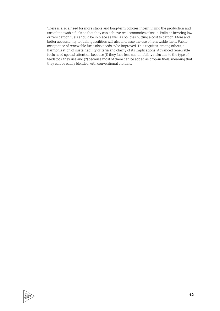There is also a need for more stable and long-term policies incentivizing the production and use of renewable fuels so that they can achieve real economies of scale. Policies favoring low or zero carbon fuels should be in place as well as policies putting a cost to carbon. More and better accessibility to fueling facilities will also increase the use of renewable fuels. Public acceptance of renewable fuels also needs to be improved. This requires, among others, a harmonization of sustainability criteria and clarity of its implications. Advanced renewable fuels need special attention because (1) they face less sustainability risks due to the type of feedstock they use and (2) because most of them can be added as drop-in fuels, meaning that they can be easily blended with conventional biofuels.

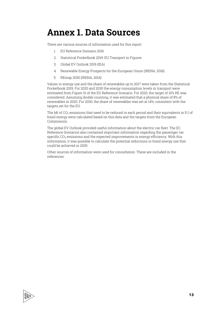### **Annex 1. Data Sources**

There are various sources of information used for this report.

- 1. EU Reference Scenario 2016
- 2. Statistical Pocketbook 2019: EU Transport in Figures
- 3. Global EV Outlook 2019 (IEA)
- 4. Renewable Energy Prospects for the European Union (IRENA, 2018)
- 5. REmap 2030 (IRENA, 2014)

Values in energy use and the share of renewables up to 2017 were taken from the Statistical Pocketbook 2019. For 2020 and 2030 the energy consumption levels in transport were estimated from Figure 31 of the EU Reference Scenario. For 2020, the target of 10% RE was considered. Assuming double counting, it was estimated that a physical share of 8% of renewables in 2020. For 2030, the share of renewables was set at 14%, consistent with the targets set for the EU.

The Mt of CO<sub>2</sub> emissions that need to be reduced in each period and their equivalents in PJ of fossil energy were calculated based on this data and the targets from the European Commission.

The global EV Outlook provided useful information about the electric car fleet. The EC Reference Scenarios also contained important information regarding the passenger car specific  $CO<sub>2</sub>$  emissions and the expected improvements in energy efficiency. With this information, it was possible to calculate the potential reductions in fossil energy use that could be achieved in 2030

Other sources of information were used for consultation. These are included in the references.

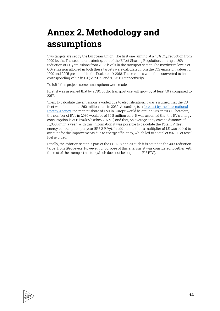### **Annex 2. Methodology and assumptions**

Two targets are set by the European Union. The first one, aiming at a  $40\%$  CO<sub>2</sub> reduction from 1990 levels. The second one aiming, part of the Effort Sharing Regulation, aiming at 30% reduction of CO<sub>2</sub> emissions from 2005 levels in the transport sector. The maximum levels of  $CO<sub>2</sub>$  emission allowed in both these targets were calculated from the  $CO<sub>2</sub>$  emission values for 1990 and 2005 presented in the Pocketbook 2018. These values were then converted to its corresponding value in PJ (6,229 PJ and 9,023 PJ respectively).

To fulfil this project, some assumptions were made:

First, it was assumed that by 2030, public transport use will grow by at least 50% compared to 2017.

Then, to calculate the emissions avoided due to electrification, it was assumed that the EU fleet would remain at 260 million cars in 2030. According to a forecast by the International Energy Agency, the market share of EVs in Europe would be around 23% in 2030. Therefore, the number of EVs in 2030 would be of 59.8 million cars. It was assumed that the EV's energy consumption is of 6 km/kWh (6km/ 3.6 MJ) and that, on average, they cover a distance of 15,000 km in a year. With this information it was possible to calculate the Total EV fleet energy consumption per year (538.2 PJ/y). In addition to that, a multiplier of 1.5 was added to account for the improvements due to energy efficiency, which led to a total of 807 PJ of fossil fuel avoided.

Finally, the aviation sector is part of the EU-ETS and as such it is bound to the 40% reduction target from 1990 levels. However, for purpose of this analysis, it was considered together with the rest of the transport sector (which does not belong to the EU-ETS).

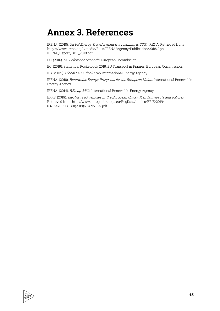### **Annex 3. References**

IRENA. (2018). Global Energy Transformation: <sup>a</sup> roadmap to 2050. IRENA. Retrieved from: https://www.irena.org/-/media/Files/IRENA/Agency/Publication/2018/Apr/ IRENA\_Report\_GET\_2018.pdf

EC. (2016). EU Reference Scenario. European Commission.

EC. (2019). Statistical Pocketbook 2019: EU Transport in Figures. European Commission.

IEA. (2019). Global EV Outlook 2019. International Energy Agency

IRENA. (2018). Renewable Energy Prospects for the European Union. International Renewable Energy Agency.

IRENA. (2014). REmap 2030. International Renewable Energy Agency.

EPRS. (2019). Electric road vehicles in the European Union: Trends, impacts and policies. Retrieved from: http://www.europarl.europa.eu/RegData/etudes/BRIE/2019/ 637895/EPRS\_BRI(2019)637895\_EN.pdf